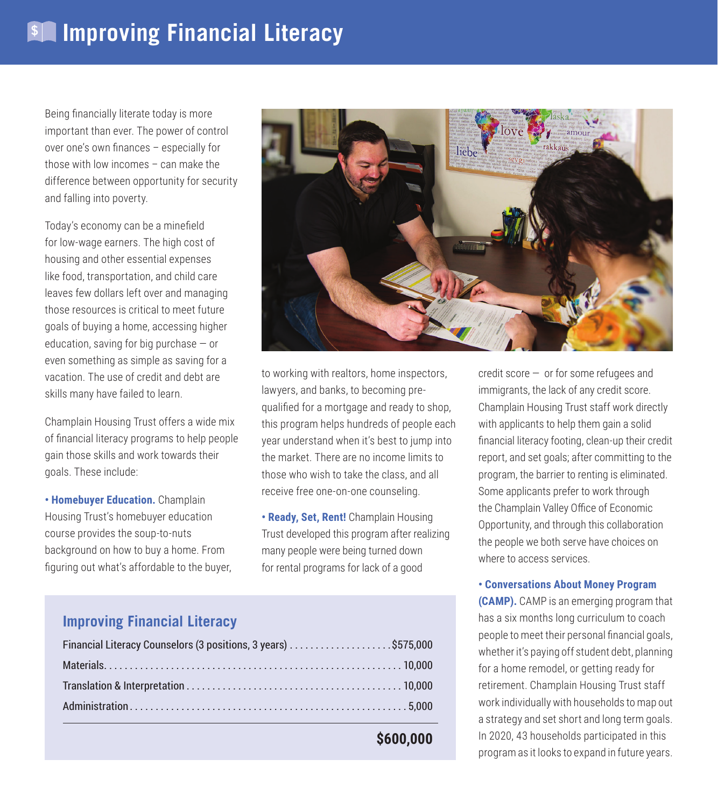Being financially literate today is more important than ever. The power of control over one's own finances – especially for those with low incomes – can make the difference between opportunity for security and falling into poverty.

Today's economy can be a minefield for low-wage earners. The high cost of housing and other essential expenses like food, transportation, and child care leaves few dollars left over and managing those resources is critical to meet future goals of buying a home, accessing higher education, saving for big purchase  $-$  or even something as simple as saving for a vacation. The use of credit and debt are skills many have failed to learn.

Champlain Housing Trust offers a wide mix of financial literacy programs to help people gain those skills and work towards their goals. These include:

**• Homebuyer Education.** Champlain Housing Trust's homebuyer education course provides the soup-to-nuts background on how to buy a home. From figuring out what's affordable to the buyer,



to working with realtors, home inspectors, lawyers, and banks, to becoming prequalified for a mortgage and ready to shop, this program helps hundreds of people each year understand when it's best to jump into the market. There are no income limits to those who wish to take the class, and all receive free one-on-one counseling.

**• Ready, Set, Rent!** Champlain Housing Trust developed this program after realizing many people were being turned down for rental programs for lack of a good

credit score — or for some refugees and immigrants, the lack of any credit score. Champlain Housing Trust staff work directly with applicants to help them gain a solid financial literacy footing, clean-up their credit report, and set goals; after committing to the program, the barrier to renting is eliminated. Some applicants prefer to work through the Champlain Valley Office of Economic Opportunity, and through this collaboration the people we both serve have choices on where to access services.

## **• Conversations About Money Program**

**(CAMP).** CAMP is an emerging program that has a six months long curriculum to coach people to meet their personal financial goals, whether it's paying off student debt, planning for a home remodel, or getting ready for retirement. Champlain Housing Trust staff work individually with households to map out a strategy and set short and long term goals. In 2020, 43 households participated in this program as it looks to expand in future years.

## **Improving Financial Literacy**

| Financial Literacy Counselors (3 positions, 3 years) \$575,000 |  |
|----------------------------------------------------------------|--|
|                                                                |  |
|                                                                |  |
|                                                                |  |
|                                                                |  |

**\$600,000**